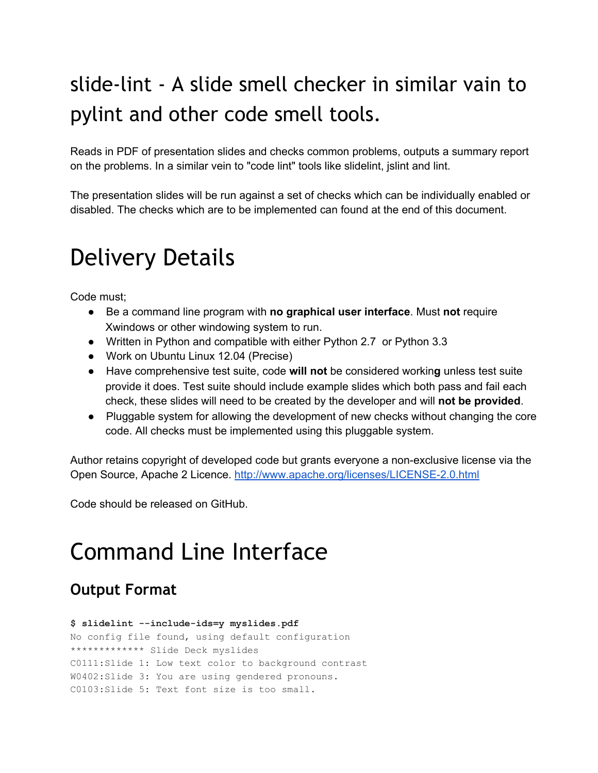# slide-lint - A slide smell checker in similar vain to pylint and other code smell tools.

Reads in PDF of presentation slides and checks common problems, outputs a summary report on the problems. In a similar vein to "code lint" tools like slidelint, jslint and lint.

The presentation slides will be run against a set of checks which can be individually enabled or disabled. The checks which are to be implemented can found at the end of this document.

# Delivery Details

Code must;

- Be a command line program with **no graphical user interface**. Must **not** require Xwindows or other windowing system to run.
- Written in Python and compatible with either Python 2.7 or Python 3.3
- Work on Ubuntu Linux 12.04 (Precise)
- Have comprehensive test suite, code **will not** be considered workin**g** unless test suite provide it does. Test suite should include example slides which both pass and fail each check, these slides will need to be created by the developer and will **not be provided**.
- Pluggable system for allowing the development of new checks without changing the core code. All checks must be implemented using this pluggable system.

Author retains copyright of developed code but grants everyone a non-exclusive license via the Open Source, Apache 2 Licence. http://www.apache.org/licenses/LICENSE-2.0.html

Code should be released on GitHub.

# Command Line Interface

## **Output Format**

```
$ slidelint includeids=y myslides.pdf
No config file found, using default configuration
************* Slide Deck myslides
C0111:Slide 1: Low text color to background contrast
W0402:Slide 3: You are using gendered pronouns.
C0103:Slide 5: Text font size is too small.
```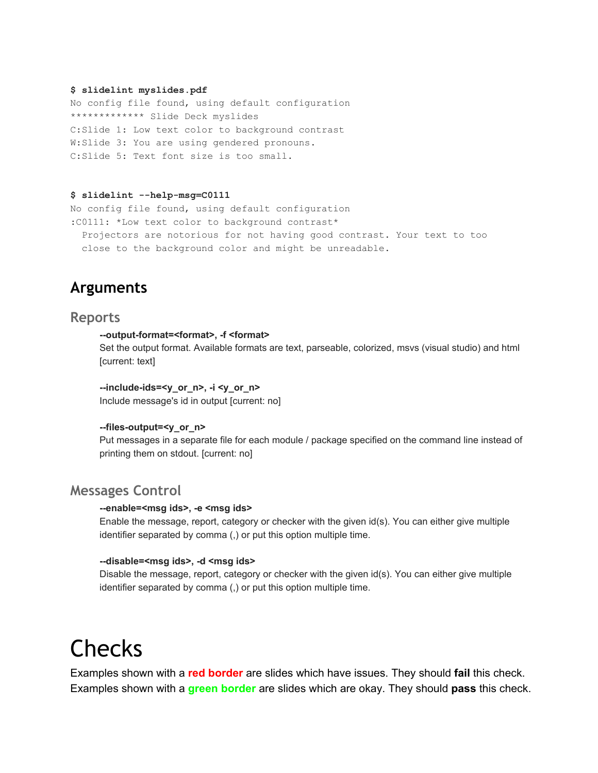#### **\$ slidelint myslides.pdf**

No config file found, using default configuration \*\*\*\*\*\*\*\*\*\*\*\*\* Slide Deck myslides C:Slide 1: Low text color to background contrast W:Slide 3: You are using gendered pronouns. C:Slide 5: Text font size is too small.

#### **\$ slidelint helpmsg=C0111**

No config file found, using default configuration :C0111: \*Low text color to background contrast\* Projectors are notorious for not having good contrast. Your text to too close to the background color and might be unreadable.

## **Arguments**

### **Reports**

#### **outputformat=<format>, f <format>**

Set the output format. Available formats are text, parseable, colorized, msvs (visual studio) and html [current: text]

#### **includeids=<y\_or\_n>, i <y\_or\_n>**

Include message's id in output [current: no]

#### --files-output=<y\_or\_n>

Put messages in a separate file for each module / package specified on the command line instead of printing them on stdout. [current: no]

### **Messages Control**

#### **enable=<msg ids>, e <msg ids>**

Enable the message, report, category or checker with the given id(s). You can either give multiple identifier separated by comma (,) or put this option multiple time.

#### **disable=<msg ids>, d <msg ids>**

Disable the message, report, category or checker with the given id(s). You can either give multiple identifier separated by comma (,) or put this option multiple time.

# Checks

Examples shown with a **red border** are slides which have issues. They should **fail** this check. Examples shown with a **green border** are slides which are okay. They should **pass** this check.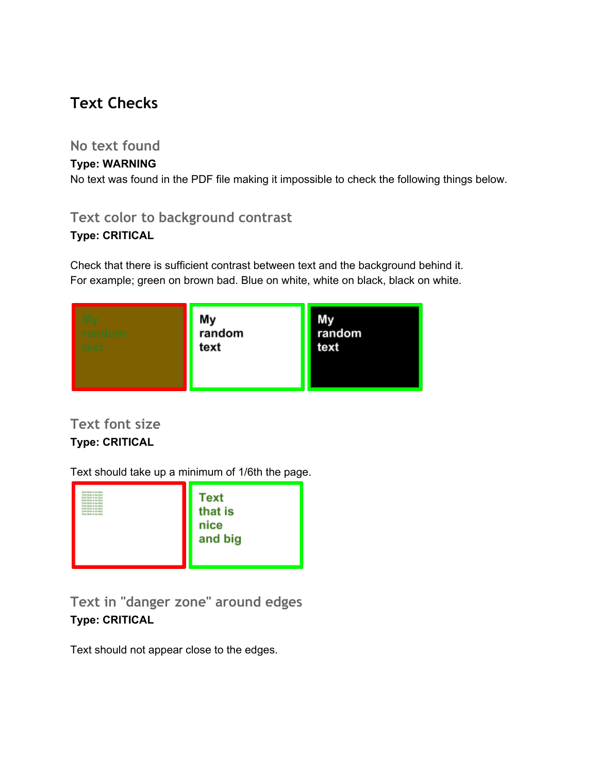## **Text Checks**

## **No text found**

### **Type: WARNING**

No text was found in the PDF file making it impossible to check the following things below.

## **Text color to background contrast**

## **Type: CRITICAL**

Check that there is sufficient contrast between text and the background behind it. For example; green on brown bad. Blue on white, white on black, black on white.

| a l'alfa fa fa a f | My<br>random<br>text | random<br>text |
|--------------------|----------------------|----------------|
|--------------------|----------------------|----------------|

## **Text font size Type: CRITICAL**

Text should take up a minimum of 1/6th the page.



**Text in "danger zone" around edges Type: CRITICAL**

Text should not appear close to the edges.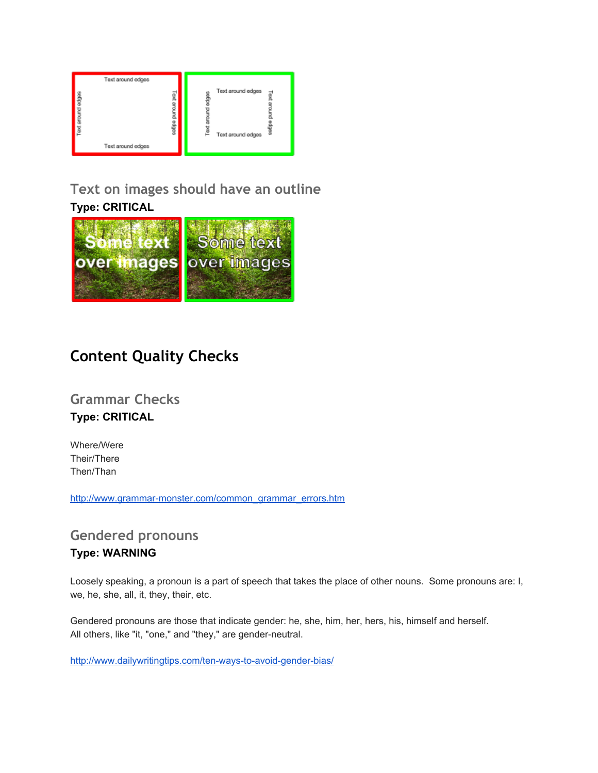## **Text on images should have an outline Type: CRITICAL**



## **Content Quality Checks**

**Grammar Checks Type: CRITICAL**

Where/Were Their/There Then/Than

http://www.grammar-monster.com/common\_grammar\_errors.htm

## **Gendered pronouns**

### **Type: WARNING**

Loosely speaking, a pronoun is a part of speech that takes the place of other nouns. Some pronouns are: I, we, he, she, all, it, they, their, etc.

Gendered pronouns are those that indicate gender: he, she, him, her, hers, his, himself and herself. All others, like "it, "one," and "they," are gender-neutral.

http://www.dailywritingtips.com/ten-ways-to-avoid-gender-bias/